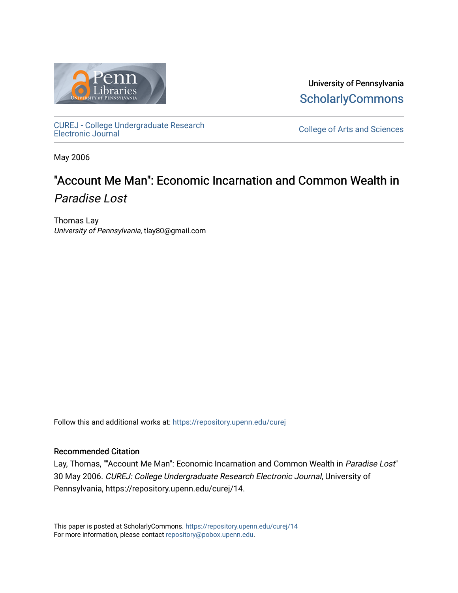

University of Pennsylvania **ScholarlyCommons** 

[CUREJ - College Undergraduate Research](https://repository.upenn.edu/curej) 

College of Arts and Sciences

May 2006

# "Account Me Man": Economic Incarnation and Common Wealth in Paradise Lost

Thomas Lay University of Pennsylvania, tlay80@gmail.com

Follow this and additional works at: [https://repository.upenn.edu/curej](https://repository.upenn.edu/curej?utm_source=repository.upenn.edu%2Fcurej%2F14&utm_medium=PDF&utm_campaign=PDFCoverPages)

#### Recommended Citation

Lay, Thomas, ""Account Me Man": Economic Incarnation and Common Wealth in Paradise Lost" 30 May 2006. CUREJ: College Undergraduate Research Electronic Journal, University of Pennsylvania, https://repository.upenn.edu/curej/14.

This paper is posted at ScholarlyCommons.<https://repository.upenn.edu/curej/14> For more information, please contact [repository@pobox.upenn.edu.](mailto:repository@pobox.upenn.edu)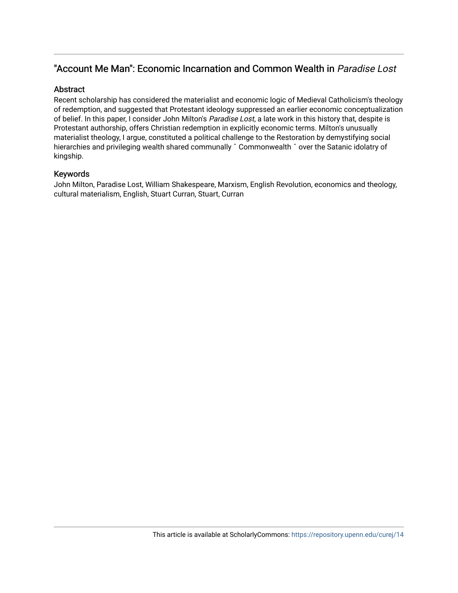## "Account Me Man": Economic Incarnation and Common Wealth in Paradise Lost

#### **Abstract**

Recent scholarship has considered the materialist and economic logic of Medieval Catholicism's theology of redemption, and suggested that Protestant ideology suppressed an earlier economic conceptualization of belief. In this paper, I consider John Milton's Paradise Lost, a late work in this history that, despite is Protestant authorship, offers Christian redemption in explicitly economic terms. Milton's unusually materialist theology, I argue, constituted a political challenge to the Restoration by demystifying social hierarchies and privileging wealth shared communally ^ Commonwealth ^ over the Satanic idolatry of kingship.

#### Keywords

John Milton, Paradise Lost, William Shakespeare, Marxism, English Revolution, economics and theology, cultural materialism, English, Stuart Curran, Stuart, Curran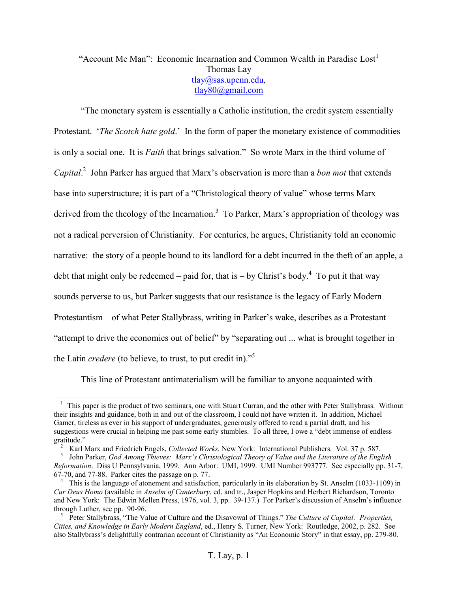### "Account Me Man": Economic Incarnation and Common Wealth in Paradise  $\text{Cost}^1$ Thomas Lay tlay@sas.upenn.edu, tlay80@gmail.com

"The monetary system is essentially a Catholic institution, the credit system essentially Protestant. '*The Scotch hate gold*.' In the form of paper the monetary existence of commodities is only a social one. It is *Faith* that brings salvation." So wrote Marx in the third volume of *Capital*. <sup>2</sup> John Parker has argued that Marx's observation is more than a *bon mot* that extends base into superstructure; it is part of a "Christological theory of value" whose terms Marx derived from the theology of the Incarnation.<sup>3</sup> To Parker, Marx's appropriation of theology was not a radical perversion of Christianity. For centuries, he argues, Christianity told an economic narrative: the story of a people bound to its landlord for a debt incurred in the theft of an apple, a debt that might only be redeemed – paid for, that is – by Christ's body.<sup>4</sup> To put it that way sounds perverse to us, but Parker suggests that our resistance is the legacy of Early Modern Protestantism – of what Peter Stallybrass, writing in Parker's wake, describes as a Protestant "attempt to drive the economics out of belief" by "separating out ... what is brought together in the Latin *credere* (to believe, to trust, to put credit in)."5

This line of Protestant antimaterialism will be familiar to anyone acquainted with

 $1$  This paper is the product of two seminars, one with Stuart Curran, and the other with Peter Stallybrass. Without their insights and guidance, both in and out of the classroom, I could not have written it. In addition, Michael Gamer, tireless as ever in his support of undergraduates, generously offered to read a partial draft, and his suggestions were crucial in helping me past some early stumbles. To all three, I owe a "debt immense of endless

gratitude."<br><sup>2</sup> Karl Marx and Friedrich Engels, *Collected Works*. New York: International Publishers. Vol. 37 p. 587.<br><sup>3</sup> John Parker, *God Among Thieves: Marx's Christological Theory of Value and the Literature of the En* 

*Reformation*. Diss U Pennsylvania, 1999. Ann Arbor: UMI, 1999. UMI Number 993777. See especially pp. 31-7, 67-70, and 77-88. Parker cites the passage on p. 77.

<sup>&</sup>lt;sup>4</sup> This is the language of atonement and satisfaction, particularly in its elaboration by St. Anselm (1033-1109) in *Cur Deus Homo* (available in *Anselm of Canterbury*, ed. and tr., Jasper Hopkins and Herbert Richardson, Toronto and New York: The Edwin Mellen Press, 1976, vol. 3, pp. 39-137.) For Parker's discussion of Anselm's influence through Luther, see pp. 90-96.<br><sup>5</sup> Peter Stallybrass, "The Value of Culture and the Disavowal of Things." *The Culture of Capital: Properties*,

*Cities, and Knowledge in Early Modern England*, ed., Henry S. Turner, New York: Routledge, 2002, p. 282. See also Stallybrass's delightfully contrarian account of Christianity as "An Economic Story" in that essay, pp. 279-80.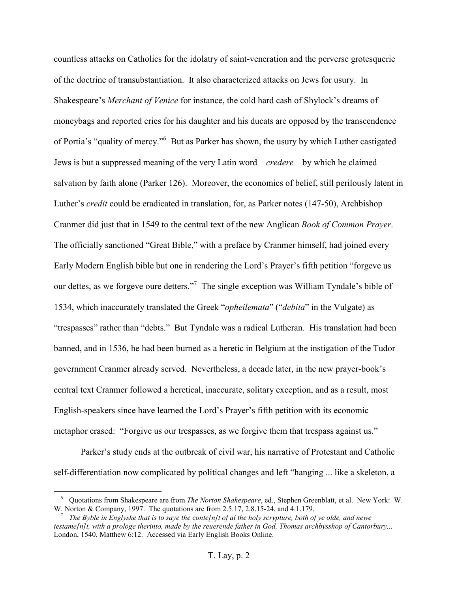countless attacks on Catholics for the idolatry of saint-veneration and the perverse grotesquerie of the doctrine of transubstantiation. It also characterized attacks on Jews for usury. In Shakespeare's *Merchant of Venice* for instance, the cold hard cash of Shylock's dreams of moneybags and reported cries for his daughter and his ducats are opposed by the transcendence of Portia's "quality of mercy."<sup>6</sup> But as Parker has shown, the usury by which Luther castigated Jews is but a suppressed meaning of the very Latin word – *credere* – by which he claimed salvation by faith alone (Parker 126). Moreover, the economics of belief, still perilously latent in Luther's *credit* could be eradicated in translation, for, as Parker notes (147-50), Archbishop Cranmer did just that in 1549 to the central text of the new Anglican *Book of Common Prayer*. The officially sanctioned "Great Bible," with a preface by Cranmer himself, had joined every Early Modern English bible but one in rendering the Lord's Prayer's fifth petition "forgeve us our dettes, as we forgeve oure detters."<sup>7</sup> The single exception was William Tyndale's bible of 1534, which inaccurately translated the Greek "*opheilemata*" ("*debita*" in the Vulgate) as "trespasses" rather than "debts." But Tyndale was a radical Lutheran. His translation had been banned, and in 1536, he had been burned as a heretic in Belgium at the instigation of the Tudor government Cranmer already served. Nevertheless, a decade later, in the new prayer-book's central text Cranmer followed a heretical, inaccurate, solitary exception, and as a result, most English-speakers since have learned the Lord's Prayer's fifth petition with its economic metaphor erased: "Forgive us our trespasses, as we forgive them that trespass against us."

 Parker's study ends at the outbreak of civil war, his narrative of Protestant and Catholic self-differentiation now complicated by political changes and left "hanging ... like a skeleton, a

<sup>6</sup> Quotations from Shakespeare are from *The Norton Shakespeare*, ed., Stephen Greenblatt, et al. New York: W. W. Norton & Company, 1997. The quotations are from 2.5.17, 2.8.15-24, and 4.1.179.<br><sup>7</sup> *The Byble in Englyshe that is to saye the conte[n]t of al the holy scrypture, both of ye olde, and newe* 

*testame[n]t, with a prologe therinto, made by the reuerende father in God, Thomas archbysshop of Cantorbury...*  London, 1540, Matthew 6:12. Accessed via Early English Books Online.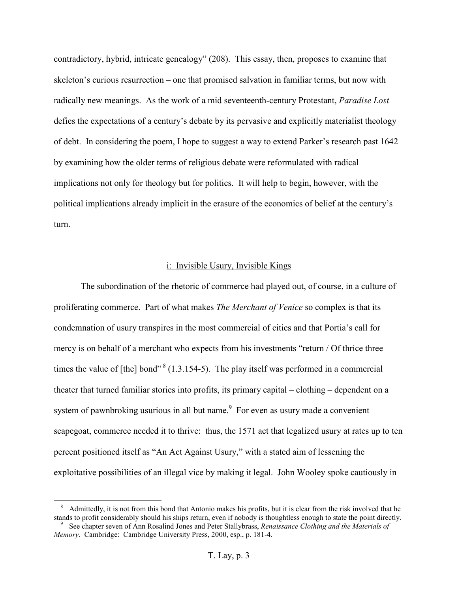contradictory, hybrid, intricate genealogy" (208). This essay, then, proposes to examine that skeleton's curious resurrection – one that promised salvation in familiar terms, but now with radically new meanings. As the work of a mid seventeenth-century Protestant, *Paradise Lost* defies the expectations of a century's debate by its pervasive and explicitly materialist theology of debt. In considering the poem, I hope to suggest a way to extend Parker's research past 1642 by examining how the older terms of religious debate were reformulated with radical implications not only for theology but for politics. It will help to begin, however, with the political implications already implicit in the erasure of the economics of belief at the century's turn.

#### i: Invisible Usury, Invisible Kings

The subordination of the rhetoric of commerce had played out, of course, in a culture of proliferating commerce. Part of what makes *The Merchant of Venice* so complex is that its condemnation of usury transpires in the most commercial of cities and that Portia's call for mercy is on behalf of a merchant who expects from his investments "return / Of thrice three times the value of [the] bond"  $8(1.3.154-5)$ . The play itself was performed in a commercial theater that turned familiar stories into profits, its primary capital – clothing – dependent on a system of pawnbroking usurious in all but name.<sup>9</sup> For even as usury made a convenient scapegoat, commerce needed it to thrive: thus, the 1571 act that legalized usury at rates up to ten percent positioned itself as "An Act Against Usury," with a stated aim of lessening the exploitative possibilities of an illegal vice by making it legal. John Wooley spoke cautiously in

<sup>&</sup>lt;sup>8</sup> Admittedly, it is not from this bond that Antonio makes his profits, but it is clear from the risk involved that he stands to profit considerably should his ships return, even if nobody is thoughtless enough to state t  $9\degree$  See chapter seven of Ann Rosalind Jones and Peter Stallybrass, *Renaissance Clothing and the Materials of* 

*Memory*. Cambridge: Cambridge University Press, 2000, esp., p. 181-4.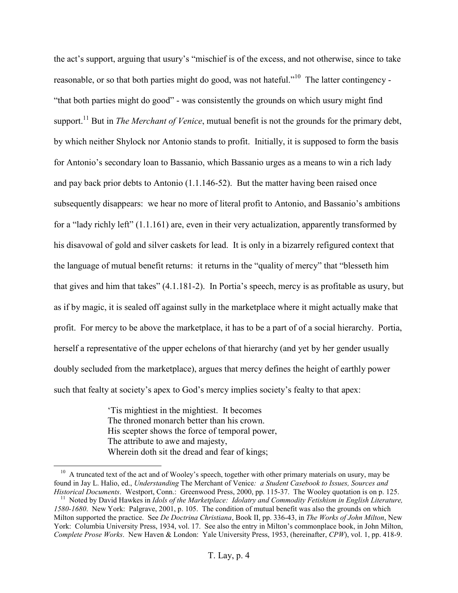the act's support, arguing that usury's "mischief is of the excess, and not otherwise, since to take reasonable, or so that both parties might do good, was not hateful."<sup>10</sup> The latter contingency - "that both parties might do good" - was consistently the grounds on which usury might find support.<sup>11</sup> But in *The Merchant of Venice*, mutual benefit is not the grounds for the primary debt, by which neither Shylock nor Antonio stands to profit. Initially, it is supposed to form the basis for Antonio's secondary loan to Bassanio, which Bassanio urges as a means to win a rich lady and pay back prior debts to Antonio (1.1.146-52). But the matter having been raised once subsequently disappears: we hear no more of literal profit to Antonio, and Bassanio's ambitions for a "lady richly left" (1.1.161) are, even in their very actualization, apparently transformed by his disavowal of gold and silver caskets for lead. It is only in a bizarrely refigured context that the language of mutual benefit returns: it returns in the "quality of mercy" that "blesseth him that gives and him that takes" (4.1.181-2). In Portia's speech, mercy is as profitable as usury, but as if by magic, it is sealed off against sully in the marketplace where it might actually make that profit. For mercy to be above the marketplace, it has to be a part of of a social hierarchy. Portia, herself a representative of the upper echelons of that hierarchy (and yet by her gender usually doubly secluded from the marketplace), argues that mercy defines the height of earthly power such that fealty at society's apex to God's mercy implies society's fealty to that apex:

> 'Tis mightiest in the mightiest. It becomes The throned monarch better than his crown. His scepter shows the force of temporal power, The attribute to awe and majesty, Wherein doth sit the dread and fear of kings;

<sup>&</sup>lt;sup>10</sup> A truncated text of the act and of Wooley's speech, together with other primary materials on usury, may be found in Jay L. Halio, ed., *Understanding* The Merchant of Venice*: a Student Casebook to Issues, Sources and* 

 $^{11}$  Noted by David Hawkes in *Idols of the Marketplace: Idolatry and Commodity Fetishism in English Literature*, *1580-1680*. New York: Palgrave, 2001, p. 105. The condition of mutual benefit was also the grounds on which Milton supported the practice. See *De Doctrina Christiana*, Book II, pp. 336-43, in *The Works of John Milton*, New York: Columbia University Press, 1934, vol. 17. See also the entry in Milton's commonplace book, in John Milton, *Complete Prose Works*. New Haven & London: Yale University Press, 1953, (hereinafter, *CPW*), vol. 1, pp. 418-9.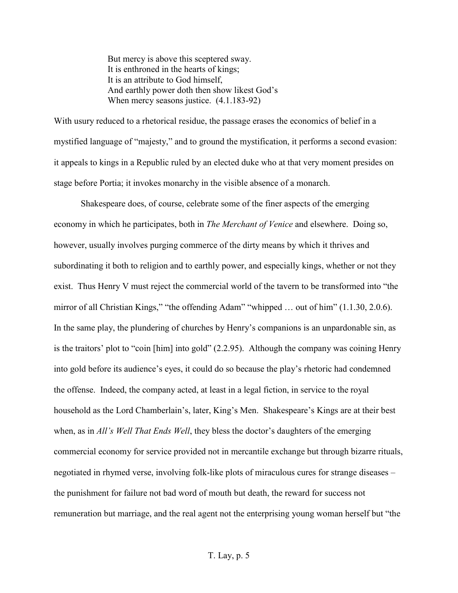But mercy is above this sceptered sway. It is enthroned in the hearts of kings; It is an attribute to God himself, And earthly power doth then show likest God's When mercy seasons justice. (4.1.183-92)

With usury reduced to a rhetorical residue, the passage erases the economics of belief in a mystified language of "majesty," and to ground the mystification, it performs a second evasion: it appeals to kings in a Republic ruled by an elected duke who at that very moment presides on stage before Portia; it invokes monarchy in the visible absence of a monarch.

 Shakespeare does, of course, celebrate some of the finer aspects of the emerging economy in which he participates, both in *The Merchant of Venice* and elsewhere. Doing so, however, usually involves purging commerce of the dirty means by which it thrives and subordinating it both to religion and to earthly power, and especially kings, whether or not they exist. Thus Henry V must reject the commercial world of the tavern to be transformed into "the mirror of all Christian Kings," "the offending Adam" "whipped … out of him" (1.1.30, 2.0.6). In the same play, the plundering of churches by Henry's companions is an unpardonable sin, as is the traitors' plot to "coin [him] into gold" (2.2.95). Although the company was coining Henry into gold before its audience's eyes, it could do so because the play's rhetoric had condemned the offense. Indeed, the company acted, at least in a legal fiction, in service to the royal household as the Lord Chamberlain's, later, King's Men. Shakespeare's Kings are at their best when, as in *All's Well That Ends Well*, they bless the doctor's daughters of the emerging commercial economy for service provided not in mercantile exchange but through bizarre rituals, negotiated in rhymed verse, involving folk-like plots of miraculous cures for strange diseases – the punishment for failure not bad word of mouth but death, the reward for success not remuneration but marriage, and the real agent not the enterprising young woman herself but "the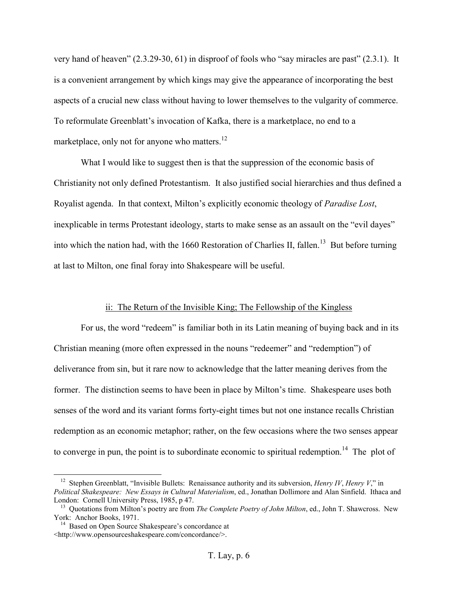very hand of heaven" (2.3.29-30, 61) in disproof of fools who "say miracles are past" (2.3.1). It is a convenient arrangement by which kings may give the appearance of incorporating the best aspects of a crucial new class without having to lower themselves to the vulgarity of commerce. To reformulate Greenblatt's invocation of Kafka, there is a marketplace, no end to a marketplace, only not for anyone who matters. $^{12}$ 

What I would like to suggest then is that the suppression of the economic basis of Christianity not only defined Protestantism. It also justified social hierarchies and thus defined a Royalist agenda. In that context, Milton's explicitly economic theology of *Paradise Lost*, inexplicable in terms Protestant ideology, starts to make sense as an assault on the "evil dayes" into which the nation had, with the 1660 Restoration of Charlies II, fallen.<sup>13</sup> But before turning at last to Milton, one final foray into Shakespeare will be useful.

#### ii: The Return of the Invisible King; The Fellowship of the Kingless

For us, the word "redeem" is familiar both in its Latin meaning of buying back and in its Christian meaning (more often expressed in the nouns "redeemer" and "redemption") of deliverance from sin, but it rare now to acknowledge that the latter meaning derives from the former. The distinction seems to have been in place by Milton's time. Shakespeare uses both senses of the word and its variant forms forty-eight times but not one instance recalls Christian redemption as an economic metaphor; rather, on the few occasions where the two senses appear to converge in pun, the point is to subordinate economic to spiritual redemption.<sup>14</sup> The plot of

<sup>12</sup> Stephen Greenblatt, "Invisible Bullets: Renaissance authority and its subversion, *Henry IV*, *Henry V*," in *Political Shakespeare: New Essays in Cultural Materialism*, ed., Jonathan Dollimore and Alan Sinfield. Ithaca and

London: Cornell University Press, 1985, p 47.<br><sup>13</sup> Quotations from Milton's poetry are from *The Complete Poetry of John Milton*, ed., John T. Shawcross. New York: Anchor Books, 1971.

 $14$  Based on Open Source Shakespeare's concordance at <http://www.opensourceshakespeare.com/concordance/>.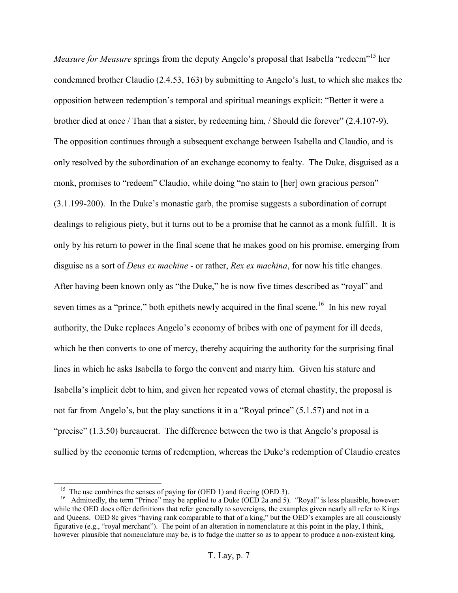*Measure for Measure* springs from the deputy Angelo's proposal that Isabella "redeem"<sup>15</sup> her condemned brother Claudio (2.4.53, 163) by submitting to Angelo's lust, to which she makes the opposition between redemption's temporal and spiritual meanings explicit: "Better it were a brother died at once / Than that a sister, by redeeming him, / Should die forever" (2.4.107-9). The opposition continues through a subsequent exchange between Isabella and Claudio, and is only resolved by the subordination of an exchange economy to fealty. The Duke, disguised as a monk, promises to "redeem" Claudio, while doing "no stain to [her] own gracious person" (3.1.199-200). In the Duke's monastic garb, the promise suggests a subordination of corrupt dealings to religious piety, but it turns out to be a promise that he cannot as a monk fulfill. It is only by his return to power in the final scene that he makes good on his promise, emerging from disguise as a sort of *Deus ex machine* - or rather, *Rex ex machina*, for now his title changes. After having been known only as "the Duke," he is now five times described as "royal" and seven times as a "prince," both epithets newly acquired in the final scene.<sup>16</sup> In his new royal authority, the Duke replaces Angelo's economy of bribes with one of payment for ill deeds, which he then converts to one of mercy, thereby acquiring the authority for the surprising final lines in which he asks Isabella to forgo the convent and marry him. Given his stature and Isabella's implicit debt to him, and given her repeated vows of eternal chastity, the proposal is not far from Angelo's, but the play sanctions it in a "Royal prince" (5.1.57) and not in a "precise" (1.3.50) bureaucrat. The difference between the two is that Angelo's proposal is sullied by the economic terms of redemption, whereas the Duke's redemption of Claudio creates

<sup>&</sup>lt;sup>15</sup> The use combines the senses of paying for (OED 1) and freeing (OED 3).<br><sup>16</sup> Admittedly, the term "Prince" may be applied to a Duke (OED 2a and 5). "Royal" is less plausible, however: while the OED does offer definitions that refer generally to sovereigns, the examples given nearly all refer to Kings and Queens. OED 8c gives "having rank comparable to that of a king," but the OED's examples are all consciously figurative (e.g., "royal merchant"). The point of an alteration in nomenclature at this point in the play, I think, however plausible that nomenclature may be, is to fudge the matter so as to appear to produce a non-existent king.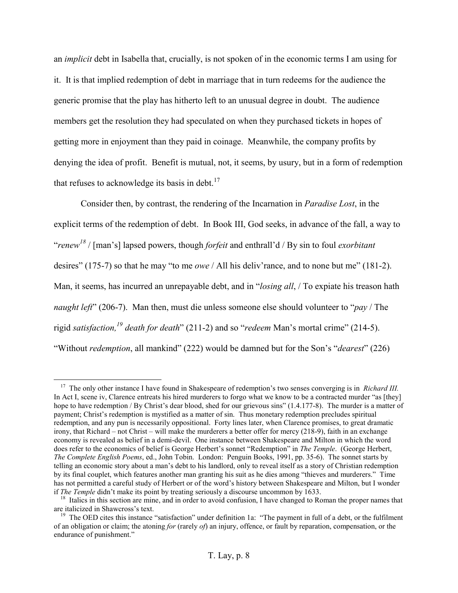an *implicit* debt in Isabella that, crucially, is not spoken of in the economic terms I am using for it. It is that implied redemption of debt in marriage that in turn redeems for the audience the generic promise that the play has hitherto left to an unusual degree in doubt. The audience members get the resolution they had speculated on when they purchased tickets in hopes of getting more in enjoyment than they paid in coinage. Meanwhile, the company profits by denying the idea of profit. Benefit is mutual, not, it seems, by usury, but in a form of redemption that refuses to acknowledge its basis in debt. $17$ 

Consider then, by contrast, the rendering of the Incarnation in *Paradise Lost*, in the explicit terms of the redemption of debt. In Book III, God seeks, in advance of the fall, a way to "*renew <sup>18</sup>* / [man's] lapsed powers, though *forfeit* and enthrall'd / By sin to foul *exorbitant* desires" (175-7) so that he may "to me *owe* / All his deliv'rance, and to none but me" (181-2). Man, it seems, has incurred an unrepayable debt, and in "*losing all*, / To expiate his treason hath *naught left*" (206-7). Man then, must die unless someone else should volunteer to "*pay* / The rigid *satisfaction,19 death for death*" (211-2) and so "*redeem* Man's mortal crime" (214-5). "Without *redemption*, all mankind" (222) would be damned but for the Son's "*dearest*" (226)

<sup>&</sup>lt;sup>17</sup> The only other instance I have found in Shakespeare of redemption's two senses converging is in *Richard III*. In Act I, scene iv, Clarence entreats his hired murderers to forgo what we know to be a contracted murder "as [they] hope to have redemption / By Christ's dear blood, shed for our grievous sins" (1.4.177-8). The murder is a matter of payment; Christ's redemption is mystified as a matter of sin. Thus monetary redemption precludes spiritual redemption, and any pun is necessarily oppositional. Forty lines later, when Clarence promises, to great dramatic irony, that Richard – not Christ – will make the murderers a better offer for mercy (218-9), faith in an exchange economy is revealed as belief in a demi-devil. One instance between Shakespeare and Milton in which the word does refer to the economics of belief is George Herbert's sonnet "Redemption" in *The Temple*. (George Herbert, *The Complete English Poems*, ed., John Tobin. London: Penguin Books, 1991, pp. 35-6). The sonnet starts by telling an economic story about a man's debt to his landlord, only to reveal itself as a story of Christian redemption by its final couplet, which features another man granting his suit as he dies among "thieves and murderers." Time has not permitted a careful study of Herbert or of the word's history between Shakespeare and Milton, but I wonder<br>if *The Temple* didn't make its point by treating seriously a discourse uncommon by 1633.

<sup>&</sup>lt;sup>18</sup> Italics in this section are mine, and in order to avoid confusion, I have changed to Roman the proper names that are italicized in Shawcross's text.<br><sup>19</sup> The OED cites this instance "satisfaction" under definition 1a: "The payment in full of a debt, or the fulfilment

of an obligation or claim; the atoning *for* (rarely *of*) an injury, offence, or fault by reparation, compensation, or the endurance of punishment."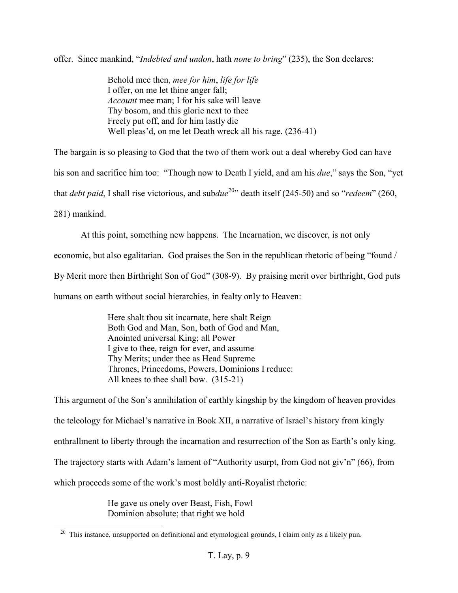offer. Since mankind, "*Indebted and undon*, hath *none to bring*" (235), the Son declares:

Behold mee then, *mee for him*, *life for life*  I offer, on me let thine anger fall; *Account* mee man; I for his sake will leave Thy bosom, and this glorie next to thee Freely put off, and for him lastly die Well pleas'd, on me let Death wreck all his rage. (236-41)

The bargain is so pleasing to God that the two of them work out a deal whereby God can have

his son and sacrifice him too: "Though now to Death I yield, and am his *due*," says the Son, "yet

that *debt paid*, I shall rise victorious, and sub*due*<sup>20</sup>" death itself (245-50) and so "*redeem*" (260,

281) mankind.

At this point, something new happens. The Incarnation, we discover, is not only

economic, but also egalitarian. God praises the Son in the republican rhetoric of being "found /

By Merit more then Birthright Son of God" (308-9). By praising merit over birthright, God puts

humans on earth without social hierarchies, in fealty only to Heaven:

Here shalt thou sit incarnate, here shalt Reign Both God and Man, Son, both of God and Man, Anointed universal King; all Power I give to thee, reign for ever, and assume Thy Merits; under thee as Head Supreme Thrones, Princedoms, Powers, Dominions I reduce: All knees to thee shall bow. (315-21)

This argument of the Son's annihilation of earthly kingship by the kingdom of heaven provides the teleology for Michael's narrative in Book XII, a narrative of Israel's history from kingly enthrallment to liberty through the incarnation and resurrection of the Son as Earth's only king. The trajectory starts with Adam's lament of "Authority usurpt, from God not giv'n" (66), from which proceeds some of the work's most boldly anti-Royalist rhetoric:

> He gave us onely over Beast, Fish, Fowl Dominion absolute; that right we hold

<sup>&</sup>lt;sup>20</sup> This instance, unsupported on definitional and etymological grounds, I claim only as a likely pun.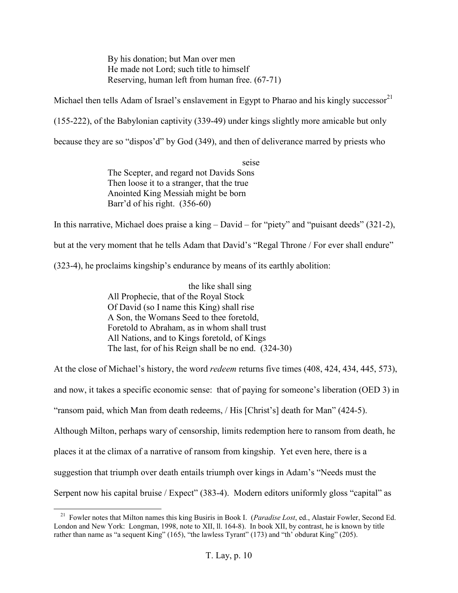By his donation; but Man over men He made not Lord; such title to himself Reserving, human left from human free. (67-71)

Michael then tells Adam of Israel's enslavement in Egypt to Pharao and his kingly successor<sup>21</sup>

(155-222), of the Babylonian captivity (339-49) under kings slightly more amicable but only

because they are so "dispos'd" by God (349), and then of deliverance marred by priests who

seise The Scepter, and regard not Davids Sons Then loose it to a stranger, that the true Anointed King Messiah might be born Barr'd of his right. (356-60)

In this narrative, Michael does praise a king – David – for "piety" and "puisant deeds" (321-2),

but at the very moment that he tells Adam that David's "Regal Throne / For ever shall endure"

(323-4), he proclaims kingship's endurance by means of its earthly abolition:

the like shall sing All Prophecie, that of the Royal Stock Of David (so I name this King) shall rise A Son, the Womans Seed to thee foretold, Foretold to Abraham, as in whom shall trust All Nations, and to Kings foretold, of Kings The last, for of his Reign shall be no end. (324-30)

At the close of Michael's history, the word *redeem* returns five times (408, 424, 434, 445, 573), and now, it takes a specific economic sense: that of paying for someone's liberation (OED 3) in "ransom paid, which Man from death redeems, / His [Christ's] death for Man" (424-5). Although Milton, perhaps wary of censorship, limits redemption here to ransom from death, he places it at the climax of a narrative of ransom from kingship. Yet even here, there is a suggestion that triumph over death entails triumph over kings in Adam's "Needs must the Serpent now his capital bruise / Expect" (383-4). Modern editors uniformly gloss "capital" as

<sup>21</sup> Fowler notes that Milton names this king Busiris in Book I. (*Paradise Lost*, ed., Alastair Fowler, Second Ed. London and New York: Longman, 1998, note to XII, ll. 164-8). In book XII, by contrast, he is known by title rather than name as "a sequent King" (165), "the lawless Tyrant" (173) and "th' obdurat King" (205).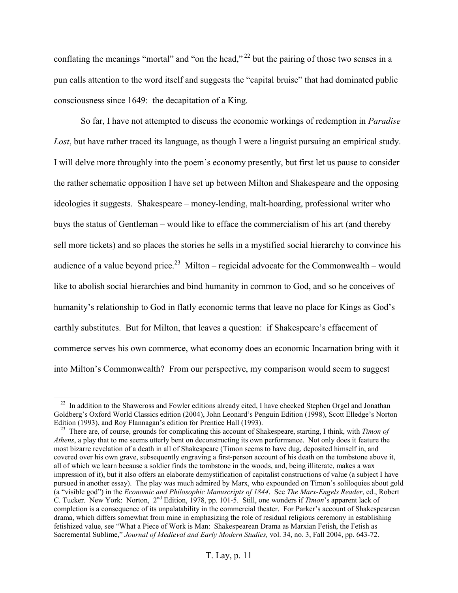conflating the meanings "mortal" and "on the head,"<sup>22</sup> but the pairing of those two senses in a pun calls attention to the word itself and suggests the "capital bruise" that had dominated public consciousness since 1649: the decapitation of a King.

 So far, I have not attempted to discuss the economic workings of redemption in *Paradise Lost*, but have rather traced its language, as though I were a linguist pursuing an empirical study. I will delve more throughly into the poem's economy presently, but first let us pause to consider the rather schematic opposition I have set up between Milton and Shakespeare and the opposing ideologies it suggests. Shakespeare – money-lending, malt-hoarding, professional writer who buys the status of Gentleman – would like to efface the commercialism of his art (and thereby sell more tickets) and so places the stories he sells in a mystified social hierarchy to convince his audience of a value beyond price.<sup>23</sup> Milton – regicidal advocate for the Commonwealth – would like to abolish social hierarchies and bind humanity in common to God, and so he conceives of humanity's relationship to God in flatly economic terms that leave no place for Kings as God's earthly substitutes. But for Milton, that leaves a question: if Shakespeare's effacement of commerce serves his own commerce, what economy does an economic Incarnation bring with it into Milton's Commonwealth? From our perspective, my comparison would seem to suggest

<sup>&</sup>lt;sup>22</sup> In addition to the Shawcross and Fowler editions already cited, I have checked Stephen Orgel and Jonathan Goldberg's Oxford World Classics edition (2004), John Leonard's Penguin Edition (1998), Scott Elledge's Norton<br>Edition (1993), and Roy Flannagan's edition for Prentice Hall (1993).

<sup>&</sup>lt;sup>23</sup> There are, of course, grounds for complicating this account of Shakespeare, starting, I think, with *Timon of Athens*, a play that to me seems utterly bent on deconstructing its own performance. Not only does it feature the most bizarre revelation of a death in all of Shakespeare (Timon seems to have dug, deposited himself in, and covered over his own grave, subsequently engraving a first-person account of his death on the tombstone above it, all of which we learn because a soldier finds the tombstone in the woods, and, being illiterate, makes a wax impression of it), but it also offers an elaborate demystification of capitalist constructions of value (a subject I have pursued in another essay). The play was much admired by Marx, who expounded on Timon's soliloquies about gold (a "visible god") in the *Economic and Philosophic Manuscripts of 1844*. See *The Marx-Engels Reader*, ed., Robert C. Tucker. New York: Norton, 2nd Edition, 1978, pp. 101-5. Still, one wonders if *Timon*'s apparent lack of completion is a consequence of its unpalatability in the commercial theater. For Parker's account of Shakespearean drama, which differs somewhat from mine in emphasizing the role of residual religious ceremony in establishing fetishized value, see "What a Piece of Work is Man: Shakespearean Drama as Marxian Fetish, the Fetish as Sacremental Sublime," *Journal of Medieval and Early Modern Studies,* vol. 34, no. 3, Fall 2004, pp. 643-72.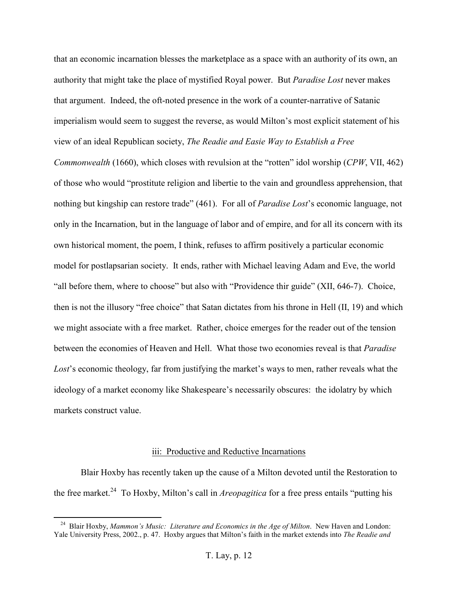that an economic incarnation blesses the marketplace as a space with an authority of its own, an authority that might take the place of mystified Royal power. But *Paradise Lost* never makes that argument. Indeed, the oft-noted presence in the work of a counter-narrative of Satanic imperialism would seem to suggest the reverse, as would Milton's most explicit statement of his view of an ideal Republican society, *The Readie and Easie Way to Establish a Free* 

*Commonwealth* (1660), which closes with revulsion at the "rotten" idol worship (*CPW*, VII, 462) of those who would "prostitute religion and libertie to the vain and groundless apprehension, that nothing but kingship can restore trade" (461). For all of *Paradise Lost*'s economic language, not only in the Incarnation, but in the language of labor and of empire, and for all its concern with its own historical moment, the poem, I think, refuses to affirm positively a particular economic model for postlapsarian society. It ends, rather with Michael leaving Adam and Eve, the world "all before them, where to choose" but also with "Providence thir guide" (XII, 646-7). Choice, then is not the illusory "free choice" that Satan dictates from his throne in Hell (II, 19) and which we might associate with a free market. Rather, choice emerges for the reader out of the tension between the economies of Heaven and Hell. What those two economies reveal is that *Paradise Lost*'s economic theology, far from justifying the market's ways to men, rather reveals what the ideology of a market economy like Shakespeare's necessarily obscures: the idolatry by which markets construct value.

#### iii: Productive and Reductive Incarnations

Blair Hoxby has recently taken up the cause of a Milton devoted until the Restoration to the free market.<sup>24</sup> To Hoxby, Milton's call in *Areopagitica* for a free press entails "putting his

<sup>24</sup> Blair Hoxby, *Mammon's Music: Literature and Economics in the Age of Milton*. New Haven and London: Yale University Press, 2002., p. 47. Hoxby argues that Milton's faith in the market extends into *The Readie and*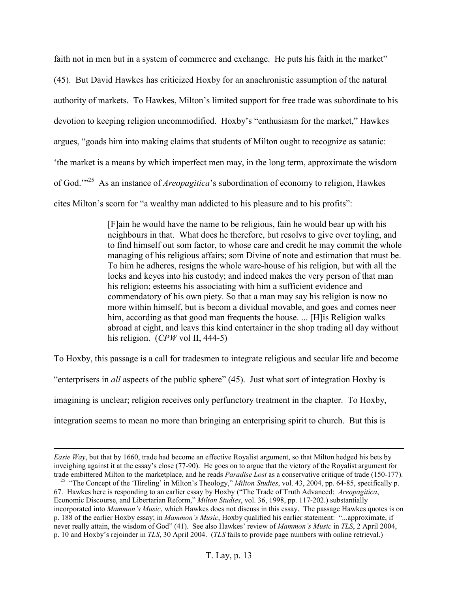faith not in men but in a system of commerce and exchange. He puts his faith in the market"

(45). But David Hawkes has criticized Hoxby for an anachronistic assumption of the natural authority of markets. To Hawkes, Milton's limited support for free trade was subordinate to his devotion to keeping religion uncommodified. Hoxby's "enthusiasm for the market," Hawkes argues, "goads him into making claims that students of Milton ought to recognize as satanic: 'the market is a means by which imperfect men may, in the long term, approximate the wisdom of God.'"<sup>25</sup> As an instance of *Areopagitica*'s subordination of economy to religion, Hawkes cites Milton's scorn for "a wealthy man addicted to his pleasure and to his profits":

> [F]ain he would have the name to be religious, fain he would bear up with his neighbours in that. What does he therefore, but resolvs to give over toyling, and to find himself out som factor, to whose care and credit he may commit the whole managing of his religious affairs; som Divine of note and estimation that must be. To him he adheres, resigns the whole ware-house of his religion, but with all the locks and keyes into his custody; and indeed makes the very person of that man his religion; esteems his associating with him a sufficient evidence and commendatory of his own piety. So that a man may say his religion is now no more within himself, but is becom a dividual movable, and goes and comes neer him, according as that good man frequents the house. ... [H]is Religion walks abroad at eight, and leavs this kind entertainer in the shop trading all day without his religion. (*CPW* vol II, 444-5)

To Hoxby, this passage is a call for tradesmen to integrate religious and secular life and become "enterprisers in *all* aspects of the public sphere" (45). Just what sort of integration Hoxby is imagining is unclear; religion receives only perfunctory treatment in the chapter. To Hoxby, integration seems to mean no more than bringing an enterprising spirit to church. But this is

*Easie Way*, but that by 1660, trade had become an effective Royalist argument, so that Milton hedged his bets by inveighing against it at the essay's close (77-90). He goes on to argue that the victory of the Royalist argument for trade embittered Milton to the marketplace, and he reads *Paradise Lost* as a conservative critique of t

<sup>&</sup>lt;sup>25</sup> "The Concept of the 'Hireling' in Milton's Theology," Milton Studies, vol. 43, 2004, pp. 64-85, specifically p. 67. Hawkes here is responding to an earlier essay by Hoxby ("The Trade of Truth Advanced: *Areopagitica*, Economic Discourse, and Libertarian Reform," *Milton Studies*, vol. 36, 1998, pp. 117-202.) substantially incorporated into *Mammon's Music*, which Hawkes does not discuss in this essay. The passage Hawkes quotes is on p. 188 of the earlier Hoxby essay; in *Mammon's Music*, Hoxby qualified his earlier statement: "...approximate, if never really attain, the wisdom of God" (41). See also Hawkes' review of *Mammon's Music* in *TLS*, 2 April 2004, p. 10 and Hoxby's rejoinder in *TLS*, 30 April 2004. (*TLS* fails to provide page numbers with online retrieval.)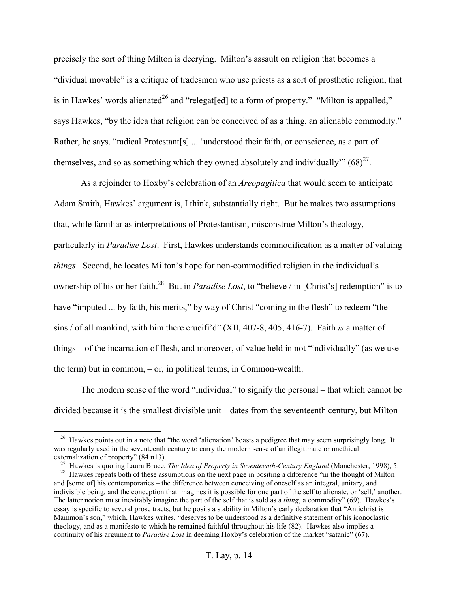precisely the sort of thing Milton is decrying. Milton's assault on religion that becomes a "dividual movable" is a critique of tradesmen who use priests as a sort of prosthetic religion, that is in Hawkes' words alienated<sup>26</sup> and "relegat[ed] to a form of property." "Milton is appalled," says Hawkes, "by the idea that religion can be conceived of as a thing, an alienable commodity." Rather, he says, "radical Protestant[s] ... 'understood their faith, or conscience, as a part of themselves, and so as something which they owned absolutely and individually"  $(68)^{27}$ .

As a rejoinder to Hoxby's celebration of an *Areopagitica* that would seem to anticipate Adam Smith, Hawkes' argument is, I think, substantially right. But he makes two assumptions that, while familiar as interpretations of Protestantism, misconstrue Milton's theology, particularly in *Paradise Lost*. First, Hawkes understands commodification as a matter of valuing *things*. Second, he locates Milton's hope for non-commodified religion in the individual's ownership of his or her faith.<sup>28</sup> But in *Paradise Lost*, to "believe / in [Christ's] redemption" is to have "imputed ... by faith, his merits," by way of Christ "coming in the flesh" to redeem "the sins / of all mankind, with him there crucifi'd" (XII, 407-8, 405, 416-7). Faith *is* a matter of things – of the incarnation of flesh, and moreover, of value held in not "individually" (as we use the term) but in common, – or, in political terms, in Common-wealth.

 The modern sense of the word "individual" to signify the personal – that which cannot be divided because it is the smallest divisible unit – dates from the seventeenth century, but Milton

<sup>&</sup>lt;sup>26</sup> Hawkes points out in a note that "the word 'alienation' boasts a pedigree that may seem surprisingly long. It was regularly used in the seventeenth century to carry the modern sense of an illegitimate or unethical

externalization of property" (84 n13).<br><sup>27</sup> Hawkes is quoting Laura Bruce, *The Idea of Property in Seventeenth-Century England* (Manchester, 1998), 5.<br><sup>28</sup> Hawkes repeats both of these assumptions on the next page in pos and [some of] his contemporaries – the difference between conceiving of oneself as an integral, unitary, and indivisible being, and the conception that imagines it is possible for one part of the self to alienate, or 'sell,' another. The latter notion must inevitably imagine the part of the self that is sold as a *thing*, a commodity" (69). Hawkes's essay is specific to several prose tracts, but he posits a stability in Milton's early declaration that "Antichrist is Mammon's son," which, Hawkes writes, "deserves to be understood as a definitive statement of his iconoclastic theology, and as a manifesto to which he remained faithful throughout his life (82). Hawkes also implies a continuity of his argument to *Paradise Lost* in deeming Hoxby's celebration of the market "satanic" (67).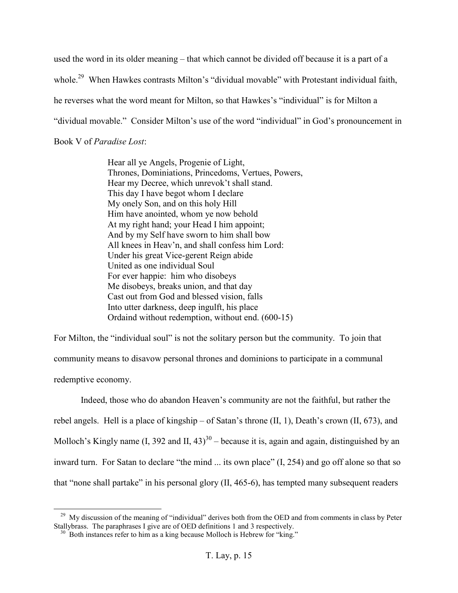used the word in its older meaning – that which cannot be divided off because it is a part of a whole.<sup>29</sup> When Hawkes contrasts Milton's "dividual movable" with Protestant individual faith, he reverses what the word meant for Milton, so that Hawkes's "individual" is for Milton a "dividual movable." Consider Milton's use of the word "individual" in God's pronouncement in Book V of *Paradise Lost*:

> Hear all ye Angels, Progenie of Light, Thrones, Dominiations, Princedoms, Vertues, Powers, Hear my Decree, which unrevok't shall stand. This day I have begot whom I declare My onely Son, and on this holy Hill Him have anointed, whom ye now behold At my right hand; your Head I him appoint; And by my Self have sworn to him shall bow All knees in Heav'n, and shall confess him Lord: Under his great Vice-gerent Reign abide United as one individual Soul For ever happie: him who disobeys Me disobeys, breaks union, and that day Cast out from God and blessed vision, falls Into utter darkness, deep ingulft, his place Ordaind without redemption, without end. (600-15)

For Milton, the "individual soul" is not the solitary person but the community. To join that community means to disavow personal thrones and dominions to participate in a communal redemptive economy.

 Indeed, those who do abandon Heaven's community are not the faithful, but rather the rebel angels. Hell is a place of kingship – of Satan's throne (II, 1), Death's crown (II, 673), and Molloch's Kingly name  $(I, 392 \text{ and } II, 43)^{30}$  – because it is, again and again, distinguished by an inward turn. For Satan to declare "the mind ... its own place" (I, 254) and go off alone so that so that "none shall partake" in his personal glory (II, 465-6), has tempted many subsequent readers

<sup>&</sup>lt;sup>29</sup> My discussion of the meaning of "individual" derives both from the OED and from comments in class by Peter Stallybrass. The paraphrases I give are of OED definitions 1 and 3 respectively.

 $30$  Both instances refer to him as a king because Molloch is Hebrew for "king."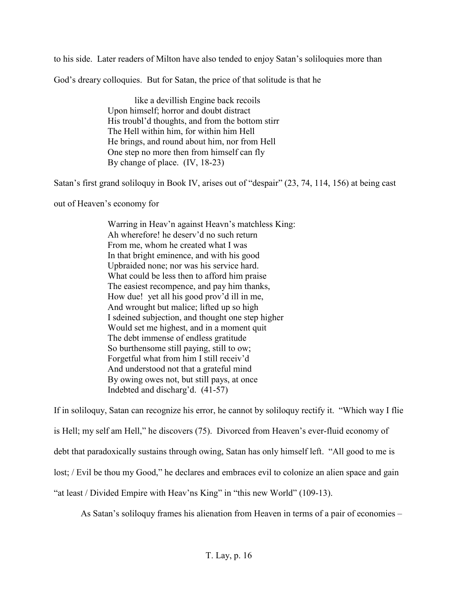to his side. Later readers of Milton have also tended to enjoy Satan's soliloquies more than

God's dreary colloquies. But for Satan, the price of that solitude is that he

 like a devillish Engine back recoils Upon himself; horror and doubt distract His troubl'd thoughts, and from the bottom stirr The Hell within him, for within him Hell He brings, and round about him, nor from Hell One step no more then from himself can fly By change of place. (IV, 18-23)

Satan's first grand soliloquy in Book IV, arises out of "despair" (23, 74, 114, 156) at being cast

out of Heaven's economy for

Warring in Heav'n against Heavn's matchless King: Ah wherefore! he deserv'd no such return From me, whom he created what I was In that bright eminence, and with his good Upbraided none; nor was his service hard. What could be less then to afford him praise The easiest recompence, and pay him thanks, How due! yet all his good prov'd ill in me, And wrought but malice; lifted up so high I sdeined subjection, and thought one step higher Would set me highest, and in a moment quit The debt immense of endless gratitude So burthensome still paying, still to ow; Forgetful what from him I still receiv'd And understood not that a grateful mind By owing owes not, but still pays, at once Indebted and discharg'd. (41-57)

If in soliloquy, Satan can recognize his error, he cannot by soliloquy rectify it. "Which way I flie is Hell; my self am Hell," he discovers (75). Divorced from Heaven's ever-fluid economy of debt that paradoxically sustains through owing, Satan has only himself left. "All good to me is lost; / Evil be thou my Good," he declares and embraces evil to colonize an alien space and gain "at least / Divided Empire with Heav'ns King" in "this new World" (109-13).

As Satan's soliloquy frames his alienation from Heaven in terms of a pair of economies –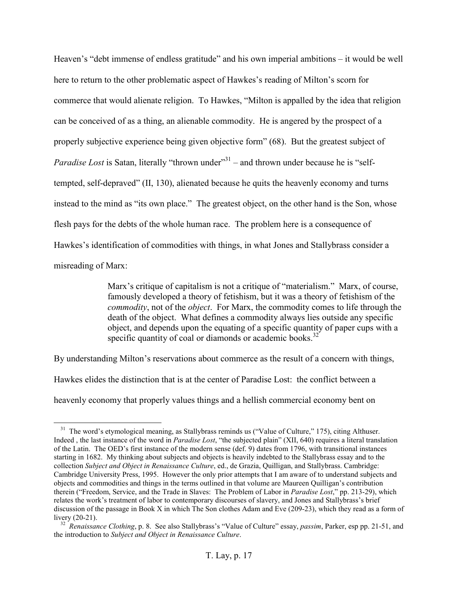Heaven's "debt immense of endless gratitude" and his own imperial ambitions – it would be well here to return to the other problematic aspect of Hawkes's reading of Milton's scorn for commerce that would alienate religion. To Hawkes, "Milton is appalled by the idea that religion can be conceived of as a thing, an alienable commodity. He is angered by the prospect of a properly subjective experience being given objective form" (68). But the greatest subject of *Paradise Lost* is Satan, literally "thrown under"<sup>31</sup> – and thrown under because he is "selftempted, self-depraved" (II, 130), alienated because he quits the heavenly economy and turns instead to the mind as "its own place." The greatest object, on the other hand is the Son, whose flesh pays for the debts of the whole human race. The problem here is a consequence of Hawkes's identification of commodities with things, in what Jones and Stallybrass consider a misreading of Marx:

> Marx's critique of capitalism is not a critique of "materialism." Marx, of course, famously developed a theory of fetishism, but it was a theory of fetishism of the *commodity*, not of the *object*. For Marx, the commodity comes to life through the death of the object. What defines a commodity always lies outside any specific object, and depends upon the equating of a specific quantity of paper cups with a specific quantity of coal or diamonds or academic books.<sup>32</sup>

By understanding Milton's reservations about commerce as the result of a concern with things,

Hawkes elides the distinction that is at the center of Paradise Lost: the conflict between a heavenly economy that properly values things and a hellish commercial economy bent on

<sup>&</sup>lt;sup>31</sup> The word's etymological meaning, as Stallybrass reminds us ("Value of Culture," 175), citing Althuser. Indeed , the last instance of the word in *Paradise Lost*, "the subjected plain" (XII, 640) requires a literal translation of the Latin. The OED's first instance of the modern sense (def. 9) dates from 1796, with transitional instances starting in 1682. My thinking about subjects and objects is heavily indebted to the Stallybrass essay and to the collection *Subject and Object in Renaissance Culture*, ed., de Grazia, Quilligan, and Stallybrass. Cambridge: Cambridge University Press, 1995. However the only prior attempts that I am aware of to understand subjects and objects and commodities and things in the terms outlined in that volume are Maureen Quilligan's contribution therein ("Freedom, Service, and the Trade in Slaves: The Problem of Labor in *Paradise Lost*," pp. 213-29), which relates the work's treatment of labor to contemporary discourses of slavery, and Jones and Stallybrass's brief discussion of the passage in Book X in which The Son clothes Adam and Eve (209-23), which they read as a form of livery (20-21).

<sup>&</sup>lt;sup>32</sup> *Renaissance Clothing*, p. 8. See also Stallybrass's "Value of Culture" essay, *passim*, Parker, esp pp. 21-51, and the introduction to *Subject and Object in Renaissance Culture*.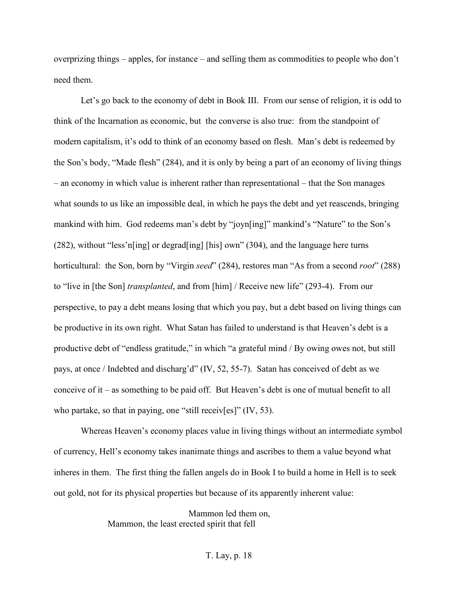overprizing things – apples, for instance – and selling them as commodities to people who don't need them.

 Let's go back to the economy of debt in Book III. From our sense of religion, it is odd to think of the Incarnation as economic, but the converse is also true: from the standpoint of modern capitalism, it's odd to think of an economy based on flesh. Man's debt is redeemed by the Son's body, "Made flesh" (284), and it is only by being a part of an economy of living things – an economy in which value is inherent rather than representational – that the Son manages what sounds to us like an impossible deal, in which he pays the debt and yet reascends, bringing mankind with him. God redeems man's debt by "joyn[ing]" mankind's "Nature" to the Son's (282), without "less'n[ing] or degrad[ing] [his] own" (304), and the language here turns horticultural: the Son, born by "Virgin *seed*" (284), restores man "As from a second *root*" (288) to "live in [the Son] *transplanted*, and from [him] / Receive new life" (293-4). From our perspective, to pay a debt means losing that which you pay, but a debt based on living things can be productive in its own right. What Satan has failed to understand is that Heaven's debt is a productive debt of "endless gratitude," in which "a grateful mind / By owing owes not, but still pays, at once / Indebted and discharg'd" (IV, 52, 55-7). Satan has conceived of debt as we conceive of it – as something to be paid off. But Heaven's debt is one of mutual benefit to all who partake, so that in paying, one "still receiv[es]" (IV, 53).

 Whereas Heaven's economy places value in living things without an intermediate symbol of currency, Hell's economy takes inanimate things and ascribes to them a value beyond what inheres in them. The first thing the fallen angels do in Book I to build a home in Hell is to seek out gold, not for its physical properties but because of its apparently inherent value:

> Mammon led them on, Mammon, the least erected spirit that fell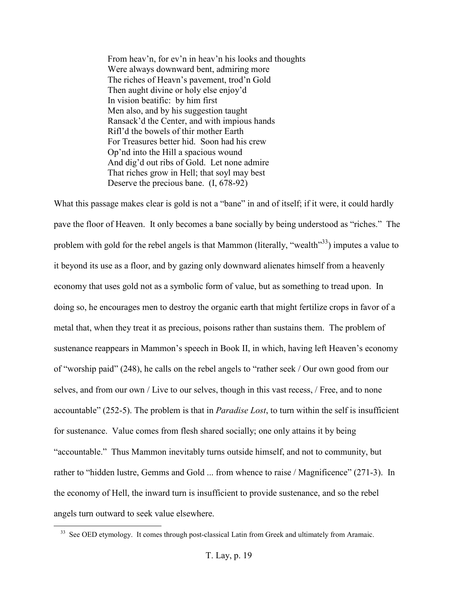From heav'n, for ev'n in heav'n his looks and thoughts Were always downward bent, admiring more The riches of Heavn's pavement, trod'n Gold Then aught divine or holy else enjoy'd In vision beatific: by him first Men also, and by his suggestion taught Ransack'd the Center, and with impious hands Rifl'd the bowels of thir mother Earth For Treasures better hid. Soon had his crew Op'nd into the Hill a spacious wound And dig'd out ribs of Gold. Let none admire That riches grow in Hell; that soyl may best Deserve the precious bane. (I, 678-92)

What this passage makes clear is gold is not a "bane" in and of itself; if it were, it could hardly pave the floor of Heaven. It only becomes a bane socially by being understood as "riches." The problem with gold for the rebel angels is that Mammon (literally, "wealth"<sup>33</sup>) imputes a value to it beyond its use as a floor, and by gazing only downward alienates himself from a heavenly economy that uses gold not as a symbolic form of value, but as something to tread upon. In doing so, he encourages men to destroy the organic earth that might fertilize crops in favor of a metal that, when they treat it as precious, poisons rather than sustains them. The problem of sustenance reappears in Mammon's speech in Book II, in which, having left Heaven's economy of "worship paid" (248), he calls on the rebel angels to "rather seek / Our own good from our selves, and from our own / Live to our selves, though in this vast recess, / Free, and to none accountable" (252-5). The problem is that in *Paradise Lost*, to turn within the self is insufficient for sustenance. Value comes from flesh shared socially; one only attains it by being "accountable." Thus Mammon inevitably turns outside himself, and not to community, but rather to "hidden lustre, Gemms and Gold ... from whence to raise / Magnificence" (271-3). In the economy of Hell, the inward turn is insufficient to provide sustenance, and so the rebel angels turn outward to seek value elsewhere.

<sup>&</sup>lt;sup>33</sup> See OED etymology. It comes through post-classical Latin from Greek and ultimately from Aramaic.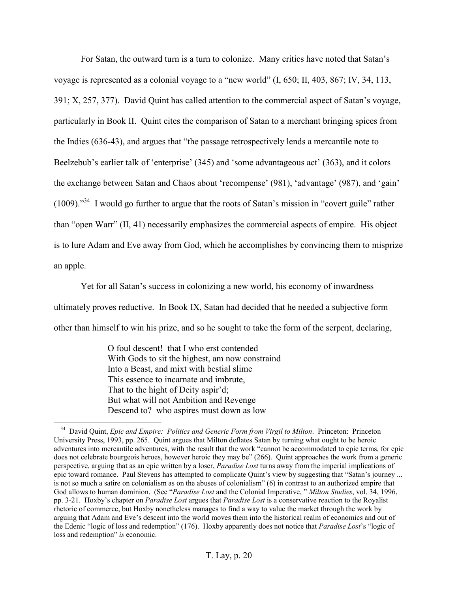For Satan, the outward turn is a turn to colonize. Many critics have noted that Satan's voyage is represented as a colonial voyage to a "new world" (I, 650; II, 403, 867; IV, 34, 113, 391; X, 257, 377). David Quint has called attention to the commercial aspect of Satan's voyage, particularly in Book II. Quint cites the comparison of Satan to a merchant bringing spices from the Indies (636-43), and argues that "the passage retrospectively lends a mercantile note to Beelzebub's earlier talk of 'enterprise' (345) and 'some advantageous act' (363), and it colors the exchange between Satan and Chaos about 'recompense' (981), 'advantage' (987), and 'gain' (1009)."<sup>34</sup> I would go further to argue that the roots of Satan's mission in "covert guile" rather than "open Warr" (II, 41) necessarily emphasizes the commercial aspects of empire. His object is to lure Adam and Eve away from God, which he accomplishes by convincing them to misprize an apple.

 Yet for all Satan's success in colonizing a new world, his economy of inwardness ultimately proves reductive. In Book IX, Satan had decided that he needed a subjective form other than himself to win his prize, and so he sought to take the form of the serpent, declaring,

> O foul descent! that I who erst contended With Gods to sit the highest, am now constraind Into a Beast, and mixt with bestial slime This essence to incarnate and imbrute, That to the hight of Deity aspir'd; But what will not Ambition and Revenge Descend to? who aspires must down as low

<sup>&</sup>lt;sup>34</sup> David Quint, *Epic and Empire: Politics and Generic Form from Virgil to Milton*. Princeton: Princeton University Press, 1993, pp. 265. Quint argues that Milton deflates Satan by turning what ought to be heroic adventures into mercantile adventures, with the result that the work "cannot be accommodated to epic terms, for epic does not celebrate bourgeois heroes, however heroic they may be" (266). Quint approaches the work from a generic perspective, arguing that as an epic written by a loser, *Paradise Lost* turns away from the imperial implications of epic toward romance. Paul Stevens has attempted to complicate Quint's view by suggesting that "Satan's journey ... is not so much a satire on colonialism as on the abuses of colonialism" (6) in contrast to an authorized empire that God allows to human dominion. (See "*Paradise Lost* and the Colonial Imperative, " *Milton Studies*, vol. 34, 1996, pp. 3-21. Hoxby's chapter on *Paradise Lost* argues that *Paradise Lost* is a conservative reaction to the Royalist rhetoric of commerce, but Hoxby nonetheless manages to find a way to value the market through the work by arguing that Adam and Eve's descent into the world moves them into the historical realm of economics and out of the Edenic "logic of loss and redemption" (176). Hoxby apparently does not notice that *Paradise Lost*'s "logic of loss and redemption" *is* economic.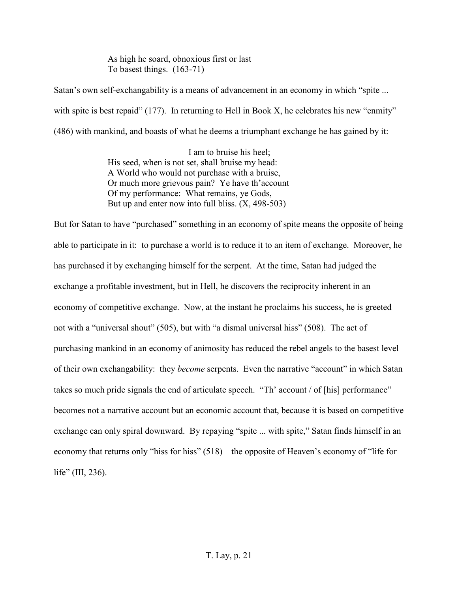As high he soard, obnoxious first or last To basest things. (163-71)

Satan's own self-exchangability is a means of advancement in an economy in which "spite ... with spite is best repaid" (177). In returning to Hell in Book X, he celebrates his new "enmity" (486) with mankind, and boasts of what he deems a triumphant exchange he has gained by it:

> I am to bruise his heel; His seed, when is not set, shall bruise my head: A World who would not purchase with a bruise, Or much more grievous pain? Ye have th'account Of my performance: What remains, ye Gods, But up and enter now into full bliss.  $(X, 498-503)$

But for Satan to have "purchased" something in an economy of spite means the opposite of being able to participate in it: to purchase a world is to reduce it to an item of exchange. Moreover, he has purchased it by exchanging himself for the serpent. At the time, Satan had judged the exchange a profitable investment, but in Hell, he discovers the reciprocity inherent in an economy of competitive exchange. Now, at the instant he proclaims his success, he is greeted not with a "universal shout" (505), but with "a dismal universal hiss" (508). The act of purchasing mankind in an economy of animosity has reduced the rebel angels to the basest level of their own exchangability: they *become* serpents. Even the narrative "account" in which Satan takes so much pride signals the end of articulate speech. "Th' account / of [his] performance" becomes not a narrative account but an economic account that, because it is based on competitive exchange can only spiral downward. By repaying "spite ... with spite," Satan finds himself in an economy that returns only "hiss for hiss" (518) – the opposite of Heaven's economy of "life for life" (III, 236).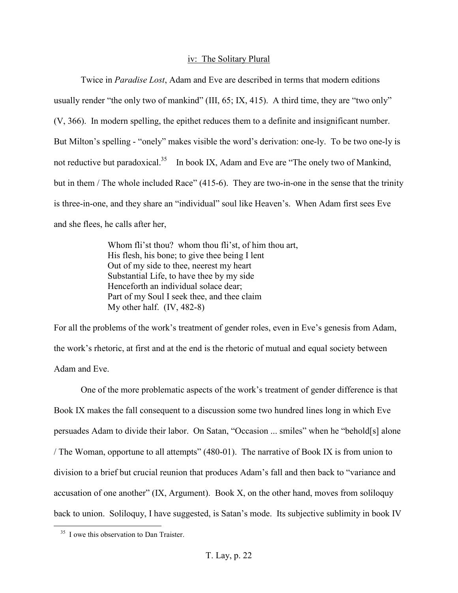#### iv: The Solitary Plural

Twice in *Paradise Lost*, Adam and Eve are described in terms that modern editions usually render "the only two of mankind" (III, 65; IX, 415). A third time, they are "two only" (V, 366). In modern spelling, the epithet reduces them to a definite and insignificant number. But Milton's spelling - "onely" makes visible the word's derivation: one-ly. To be two one-ly is not reductive but paradoxical.<sup>35</sup> In book IX, Adam and Eve are "The onely two of Mankind, but in them / The whole included Race" (415-6). They are two-in-one in the sense that the trinity is three-in-one, and they share an "individual" soul like Heaven's. When Adam first sees Eve and she flees, he calls after her,

> Whom fli'st thou? whom thou fli'st, of him thou art, His flesh, his bone; to give thee being I lent Out of my side to thee, neerest my heart Substantial Life, to have thee by my side Henceforth an individual solace dear; Part of my Soul I seek thee, and thee claim My other half. (IV, 482-8)

For all the problems of the work's treatment of gender roles, even in Eve's genesis from Adam, the work's rhetoric, at first and at the end is the rhetoric of mutual and equal society between Adam and Eve.

 One of the more problematic aspects of the work's treatment of gender difference is that Book IX makes the fall consequent to a discussion some two hundred lines long in which Eve persuades Adam to divide their labor. On Satan, "Occasion ... smiles" when he "behold[s] alone / The Woman, opportune to all attempts" (480-01). The narrative of Book IX is from union to division to a brief but crucial reunion that produces Adam's fall and then back to "variance and accusation of one another" (IX, Argument). Book X, on the other hand, moves from soliloquy back to union. Soliloquy, I have suggested, is Satan's mode. Its subjective sublimity in book IV

<sup>&</sup>lt;sup>35</sup> I owe this observation to Dan Traister.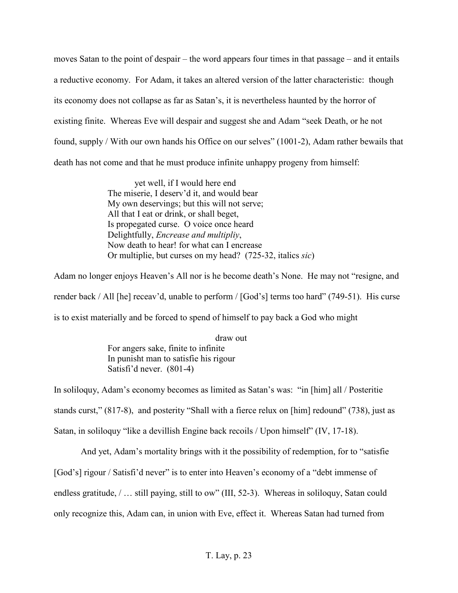moves Satan to the point of despair – the word appears four times in that passage – and it entails a reductive economy. For Adam, it takes an altered version of the latter characteristic: though its economy does not collapse as far as Satan's, it is nevertheless haunted by the horror of existing finite. Whereas Eve will despair and suggest she and Adam "seek Death, or he not found, supply / With our own hands his Office on our selves" (1001-2), Adam rather bewails that death has not come and that he must produce infinite unhappy progeny from himself:

> yet well, if I would here end The miserie, I deserv'd it, and would bear My own deservings; but this will not serve; All that I eat or drink, or shall beget, Is propegated curse. O voice once heard Delightfully, *Encrease and multipliy*, Now death to hear! for what can I encrease Or multiplie, but curses on my head? (725-32, italics *sic*)

Adam no longer enjoys Heaven's All nor is he become death's None. He may not "resigne, and render back / All [he] receav'd, unable to perform / [God's] terms too hard" (749-51). His curse is to exist materially and be forced to spend of himself to pay back a God who might

> draw out For angers sake, finite to infinite In punisht man to satisfie his rigour Satisfi'd never. (801-4)

In soliloquy, Adam's economy becomes as limited as Satan's was: "in [him] all / Posteritie stands curst," (817-8), and posterity "Shall with a fierce relux on [him] redound" (738), just as Satan, in soliloquy "like a devillish Engine back recoils / Upon himself" (IV, 17-18).

And yet, Adam's mortality brings with it the possibility of redemption, for to "satisfie

[God's] rigour / Satisfi'd never" is to enter into Heaven's economy of a "debt immense of

endless gratitude,  $/ \dots$  still paying, still to ow" (III, 52-3). Whereas in soliloquy, Satan could

only recognize this, Adam can, in union with Eve, effect it. Whereas Satan had turned from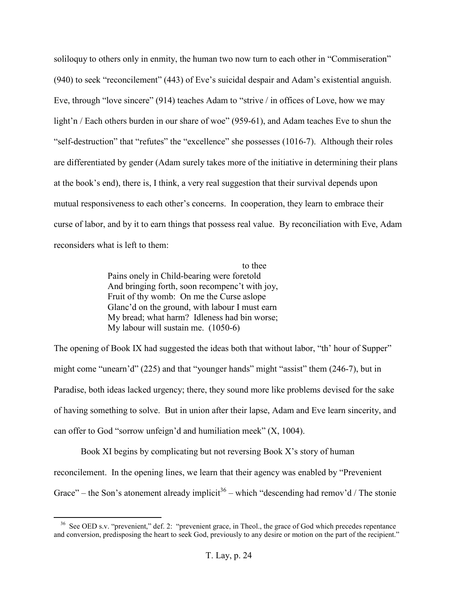soliloquy to others only in enmity, the human two now turn to each other in "Commiseration" (940) to seek "reconcilement" (443) of Eve's suicidal despair and Adam's existential anguish. Eve, through "love sincere" (914) teaches Adam to "strive / in offices of Love, how we may light'n / Each others burden in our share of woe" (959-61), and Adam teaches Eve to shun the "self-destruction" that "refutes" the "excellence" she possesses (1016-7). Although their roles are differentiated by gender (Adam surely takes more of the initiative in determining their plans at the book's end), there is, I think, a very real suggestion that their survival depends upon mutual responsiveness to each other's concerns. In cooperation, they learn to embrace their curse of labor, and by it to earn things that possess real value. By reconciliation with Eve, Adam reconsiders what is left to them:

> to thee Pains onely in Child-bearing were foretold And bringing forth, soon recompenc't with joy, Fruit of thy womb: On me the Curse aslope Glanc'd on the ground, with labour I must earn My bread; what harm? Idleness had bin worse; My labour will sustain me. (1050-6)

The opening of Book IX had suggested the ideas both that without labor, "th' hour of Supper" might come "unearn'd" (225) and that "younger hands" might "assist" them (246-7), but in Paradise, both ideas lacked urgency; there, they sound more like problems devised for the sake of having something to solve. But in union after their lapse, Adam and Eve learn sincerity, and can offer to God "sorrow unfeign'd and humiliation meek" (X, 1004).

 Book XI begins by complicating but not reversing Book X's story of human reconcilement. In the opening lines, we learn that their agency was enabled by "Prevenient Grace" – the Son's atonement already implicit<sup>36</sup> – which "descending had remov'd / The stonie

<sup>&</sup>lt;sup>36</sup> See OED s.v. "prevenient," def. 2: "prevenient grace, in Theol., the grace of God which precedes repentance and conversion, predisposing the heart to seek God, previously to any desire or motion on the part of the recipient."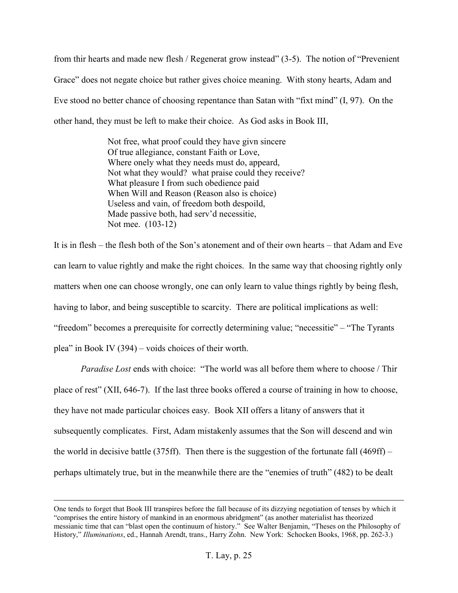from thir hearts and made new flesh / Regenerat grow instead" (3-5). The notion of "Prevenient Grace" does not negate choice but rather gives choice meaning. With stony hearts, Adam and Eve stood no better chance of choosing repentance than Satan with "fixt mind" (I, 97). On the other hand, they must be left to make their choice. As God asks in Book III,

> Not free, what proof could they have givn sincere Of true allegiance, constant Faith or Love, Where onely what they needs must do, appeard, Not what they would? what praise could they receive? What pleasure I from such obedience paid When Will and Reason (Reason also is choice) Useless and vain, of freedom both despoild, Made passive both, had serv'd necessitie, Not mee. (103-12)

It is in flesh – the flesh both of the Son's atonement and of their own hearts – that Adam and Eve can learn to value rightly and make the right choices. In the same way that choosing rightly only matters when one can choose wrongly, one can only learn to value things rightly by being flesh, having to labor, and being susceptible to scarcity. There are political implications as well: "freedom" becomes a prerequisite for correctly determining value; "necessitie" – "The Tyrants plea" in Book IV (394) – voids choices of their worth.

*Paradise Lost* ends with choice: "The world was all before them where to choose / Thir place of rest" (XII, 646-7). If the last three books offered a course of training in how to choose, they have not made particular choices easy. Book XII offers a litany of answers that it subsequently complicates. First, Adam mistakenly assumes that the Son will descend and win the world in decisive battle  $(375\text{ff})$ . Then there is the suggestion of the fortunate fall  $(469\text{ff})$ perhaps ultimately true, but in the meanwhile there are the "enemies of truth" (482) to be dealt

One tends to forget that Book III transpires before the fall because of its dizzying negotiation of tenses by which it "comprises the entire history of mankind in an enormous abridgment" (as another materialist has theorized messianic time that can "blast open the continuum of history." See Walter Benjamin, "Theses on the Philosophy of History," *Illuminations*, ed., Hannah Arendt, trans., Harry Zohn. New York: Schocken Books, 1968, pp. 262-3.)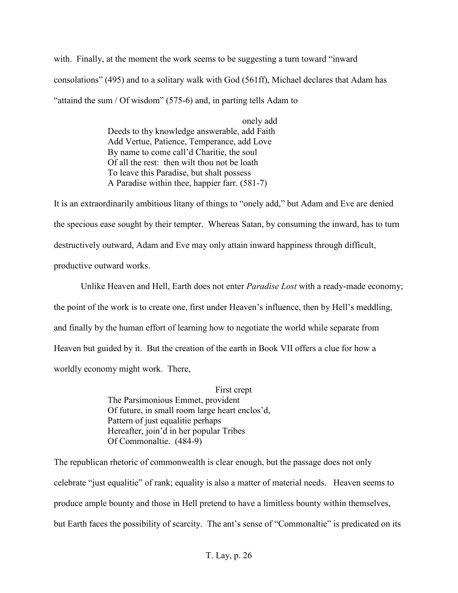with. Finally, at the moment the work seems to be suggesting a turn toward "inward consolations" (495) and to a solitary walk with God (561ff), Michael declares that Adam has "attaind the sum / Of wisdom"  $(575-6)$  and, in parting tells Adam to

> onely add Deeds to thy knowledge answerable, add Faith Add Vertue, Patience, Temperance, add Love By name to come call'd Charitie, the soul Of all the rest: then wilt thou not be loath To leave this Paradise, but shalt possess A Paradise within thee, happier farr. (581-7)

It is an extraordinarily ambitious litany of things to "onely add," but Adam and Eve are denied the specious ease sought by their tempter. Whereas Satan, by consuming the inward, has to turn destructively outward, Adam and Eve may only attain inward happiness through difficult, productive outward works.

 Unlike Heaven and Hell, Earth does not enter *Paradise Lost* with a ready-made economy; the point of the work is to create one, first under Heaven's influence, then by Hell's meddling, and finally by the human effort of learning how to negotiate the world while separate from Heaven but guided by it. But the creation of the earth in Book VII offers a clue for how a worldly economy might work. There,

> First crept The Parsimonious Emmet, provident Of future, in small room large heart enclos'd, Pattern of just equalitie perhaps Hereafter, join'd in her popular Tribes Of Commonaltie. (484-9)

The republican rhetoric of commonwealth is clear enough, but the passage does not only celebrate "just equalitie" of rank; equality is also a matter of material needs. Heaven seems to produce ample bounty and those in Hell pretend to have a limitless bounty within themselves, but Earth faces the possibility of scarcity. The ant's sense of "Commonaltie" is predicated on its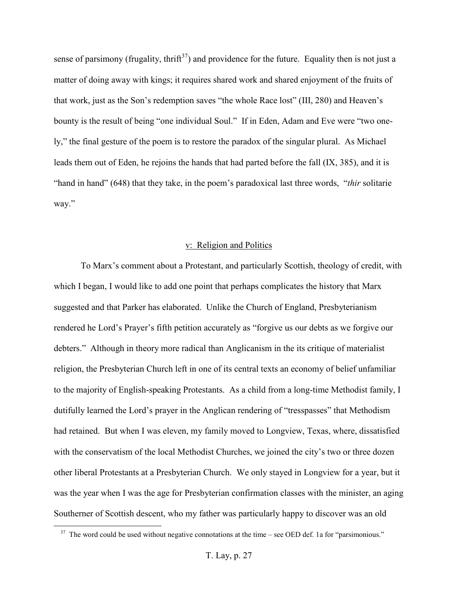sense of parsimony (frugality, thrift<sup>37</sup>) and providence for the future. Equality then is not just a matter of doing away with kings; it requires shared work and shared enjoyment of the fruits of that work, just as the Son's redemption saves "the whole Race lost" (III, 280) and Heaven's bounty is the result of being "one individual Soul." If in Eden, Adam and Eve were "two onely," the final gesture of the poem is to restore the paradox of the singular plural. As Michael leads them out of Eden, he rejoins the hands that had parted before the fall (IX, 385), and it is "hand in hand" (648) that they take, in the poem's paradoxical last three words, "*thir* solitarie way."

#### v: Religion and Politics

To Marx's comment about a Protestant, and particularly Scottish, theology of credit, with which I began, I would like to add one point that perhaps complicates the history that Marx suggested and that Parker has elaborated. Unlike the Church of England, Presbyterianism rendered he Lord's Prayer's fifth petition accurately as "forgive us our debts as we forgive our debters." Although in theory more radical than Anglicanism in the its critique of materialist religion, the Presbyterian Church left in one of its central texts an economy of belief unfamiliar to the majority of English-speaking Protestants. As a child from a long-time Methodist family, I dutifully learned the Lord's prayer in the Anglican rendering of "tresspasses" that Methodism had retained. But when I was eleven, my family moved to Longview, Texas, where, dissatisfied with the conservatism of the local Methodist Churches, we joined the city's two or three dozen other liberal Protestants at a Presbyterian Church. We only stayed in Longview for a year, but it was the year when I was the age for Presbyterian confirmation classes with the minister, an aging Southerner of Scottish descent, who my father was particularly happy to discover was an old

 $37$  The word could be used without negative connotations at the time – see OED def. 1a for "parsimonious."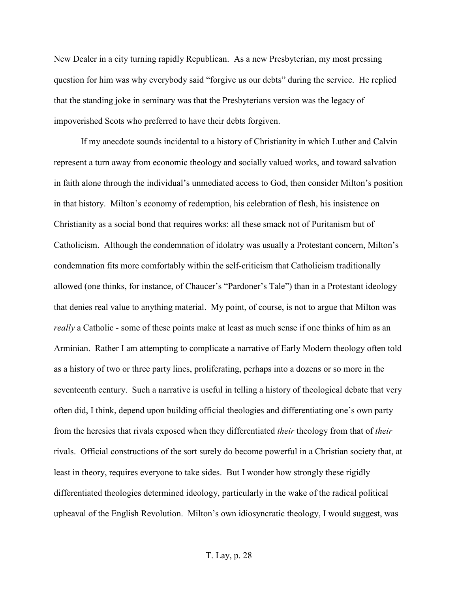New Dealer in a city turning rapidly Republican. As a new Presbyterian, my most pressing question for him was why everybody said "forgive us our debts" during the service. He replied that the standing joke in seminary was that the Presbyterians version was the legacy of impoverished Scots who preferred to have their debts forgiven.

 If my anecdote sounds incidental to a history of Christianity in which Luther and Calvin represent a turn away from economic theology and socially valued works, and toward salvation in faith alone through the individual's unmediated access to God, then consider Milton's position in that history. Milton's economy of redemption, his celebration of flesh, his insistence on Christianity as a social bond that requires works: all these smack not of Puritanism but of Catholicism. Although the condemnation of idolatry was usually a Protestant concern, Milton's condemnation fits more comfortably within the self-criticism that Catholicism traditionally allowed (one thinks, for instance, of Chaucer's "Pardoner's Tale") than in a Protestant ideology that denies real value to anything material. My point, of course, is not to argue that Milton was *really* a Catholic - some of these points make at least as much sense if one thinks of him as an Arminian. Rather I am attempting to complicate a narrative of Early Modern theology often told as a history of two or three party lines, proliferating, perhaps into a dozens or so more in the seventeenth century. Such a narrative is useful in telling a history of theological debate that very often did, I think, depend upon building official theologies and differentiating one's own party from the heresies that rivals exposed when they differentiated *their* theology from that of *their* rivals. Official constructions of the sort surely do become powerful in a Christian society that, at least in theory, requires everyone to take sides. But I wonder how strongly these rigidly differentiated theologies determined ideology, particularly in the wake of the radical political upheaval of the English Revolution. Milton's own idiosyncratic theology, I would suggest, was